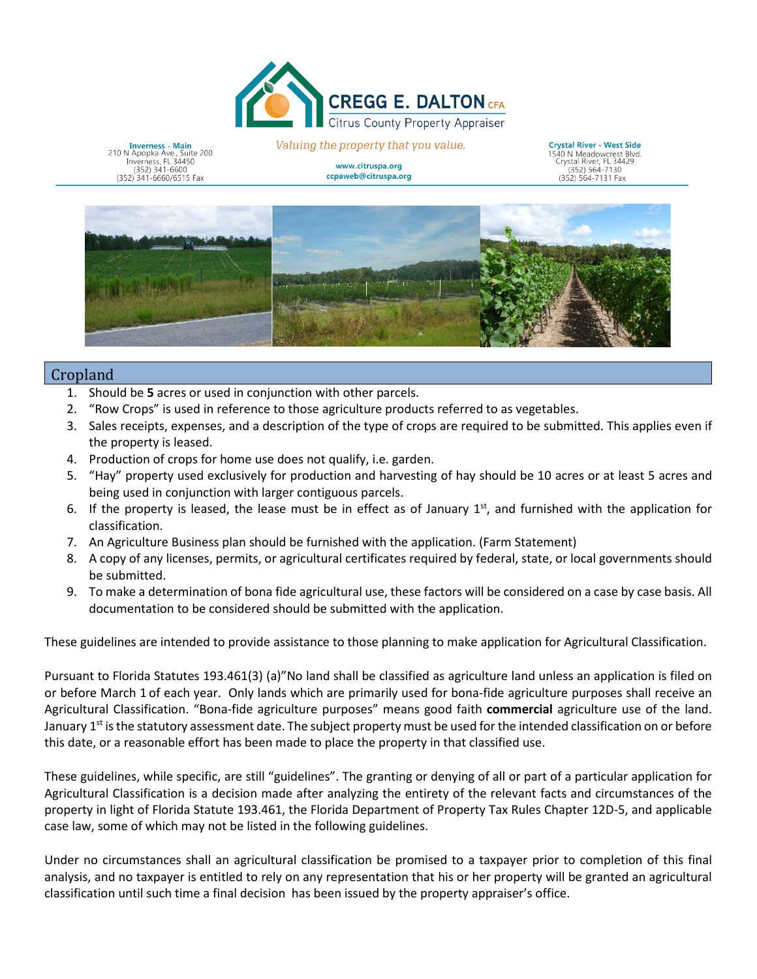

**Inverness - Main**<br>210 N Apopka Ave., Suite 200<br>Inverness, FL 34450  $(352)$  341-6600 (352) 341-6660/6515 Fax

Valuing the property that you value.

www.citruspa.org ccpaweb@citruspa.org

**Crystal River - West Side** 1540 N Meadowcrest Blvd.<br>Crystal River, FL 34429 352) 564-7130  $(352)$  564-7131 Fax



## Cropland

- 1. Should be **5** acres or used in conjunction with other parcels.
- $2.$ 2. "Row Crops" is used in reference to those agriculture products referred to as vegetables.
- 3. Sales receipts, expenses, and a description of the type of crops are required to be submitted. This applies even if the property is leased.
- 4. Production of crops for home use does not qualify, i.e. garden.
- being used in conjunction with larger contiguous parcels. 5. "Hay" property used exclusively for production and harvesting of hay should be 10 acres or at least 5 acres and
- 6. If the property is leased, the lease must be in effect as of January 1<sup>st</sup>, and furnished with the application for classification.
- 7. An Agriculture Business plan should be furnished with the application. (Farm Statement)
- 8. A copy of any licenses, permits, or agricultural certificates required by federal, state, or local governments should be submitted.
- 9. To make a determination of bona fide agricultural use, these factors will be considered on a case by case basis. All documentation to be considered should be submitted with the application.

These guidelines are intended to provide assistance to those planning to make application for Agricultural Classification.

 or before March 1 of each year. Only lands which are primarily used for bona-fide agriculture purposes shall receive an January 1<sup>st</sup> is the statutory assessment date. The subject property must be used for the intended classification on or before Pursuant to Florida Statutes 193.461(3) (a)"No land shall be classified as agriculture land unless an application is filed on Agricultural Classification. "Bona-fide agriculture purposes" means good faith **commercial** agriculture use of the land. this date, or a reasonable effort has been made to place the property in that classified use.

 Agricultural Classification is a decision made after analyzing the entirety of the relevant facts and circumstances of the case law, some of which may not be listed in the following guidelines. These guidelines, while specific, are still "guidelines". The granting or denying of all or part of a particular application for property in light of Florida Statute 193.461, the Florida Department of Property Tax Rules Chapter 12D-5, and applicable

 analysis, and no taxpayer is entitled to rely on any representation that his or her property will be granted an agricultural classification until such time a final decision has been issued by the property appraiser's office. Under no circumstances shall an agricultural classification be promised to a taxpayer prior to completion of this final